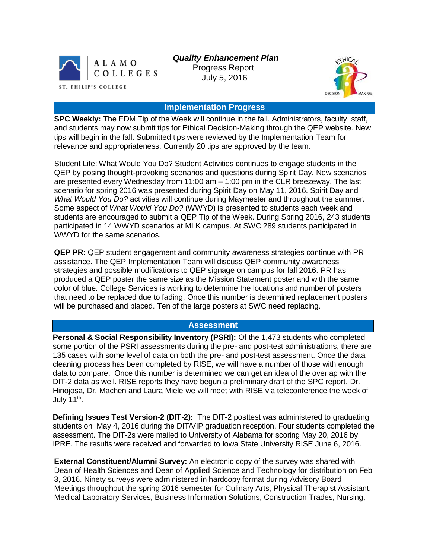

 *Quality Enhancement Plan* Progress Report July 5, 2016



## **Implementation Progress**

**SPC Weekly:** The EDM Tip of the Week will continue in the fall. Administrators, faculty, staff, and students may now submit tips for Ethical Decision-Making through the QEP website. New tips will begin in the fall. Submitted tips were reviewed by the Implementation Team for relevance and appropriateness. Currently 20 tips are approved by the team.

Student Life: What Would You Do? Student Activities continues to engage students in the QEP by posing thought-provoking scenarios and questions during Spirit Day. New scenarios are presented every Wednesday from 11:00 am – 1:00 pm in the CLR breezeway. The last scenario for spring 2016 was presented during Spirit Day on May 11, 2016. Spirit Day and *What Would You Do?* activities will continue during Maymester and throughout the summer. Some aspect of *What Would You Do?* (WWYD) is presented to students each week and students are encouraged to submit a QEP Tip of the Week. During Spring 2016, 243 students participated in 14 WWYD scenarios at MLK campus. At SWC 289 students participated in WWYD for the same scenarios.

**QEP PR:** QEP student engagement and community awareness strategies continue with PR assistance. The QEP Implementation Team will discuss QEP community awareness strategies and possible modifications to QEP signage on campus for fall 2016. PR has produced a QEP poster the same size as the Mission Statement poster and with the same color of blue. College Services is working to determine the locations and number of posters that need to be replaced due to fading. Once this number is determined replacement posters will be purchased and placed. Ten of the large posters at SWC need replacing.

#### **Assessment**

**Personal & Social Responsibility Inventory (PSRI):** Of the 1,473 students who completed some portion of the PSRI assessments during the pre- and post-test administrations, there are 135 cases with some level of data on both the pre- and post-test assessment. Once the data cleaning process has been completed by RISE, we will have a number of those with enough data to compare. Once this number is determined we can get an idea of the overlap with the DIT-2 data as well. RISE reports they have begun a preliminary draft of the SPC report. Dr. Hinojosa, Dr. Machen and Laura Miele we will meet with RISE via teleconference the week of July 11<sup>th</sup>.

**Defining Issues Test Version-2 (DIT-2):** The DIT-2 posttest was administered to graduating students on May 4, 2016 during the DIT/VIP graduation reception. Four students completed the assessment. The DIT-2s were mailed to University of Alabama for scoring May 20, 2016 by IPRE. The results were received and forwarded to Iowa State University RISE June 6, 2016.

**External Constituent/Alumni Survey:** An electronic copy of the survey was shared with Dean of Health Sciences and Dean of Applied Science and Technology for distribution on Feb 3, 2016. Ninety surveys were administered in hardcopy format during Advisory Board Meetings throughout the spring 2016 semester for Culinary Arts, Physical Therapist Assistant, Medical Laboratory Services, Business Information Solutions, Construction Trades, Nursing,